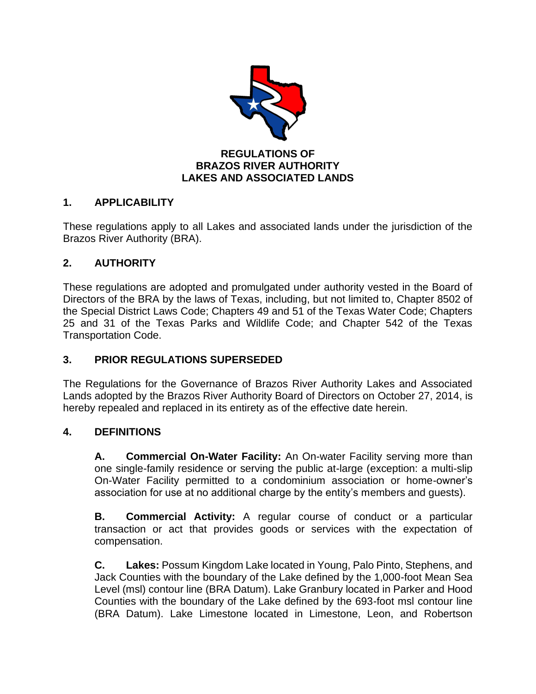

# **BRAZOS RIVER AUTHORITY LAKES AND ASSOCIATED LANDS**

# **1. APPLICABILITY**

These regulations apply to all Lakes and associated lands under the jurisdiction of the Brazos River Authority (BRA).

# **2. AUTHORITY**

These regulations are adopted and promulgated under authority vested in the Board of Directors of the BRA by the laws of Texas, including, but not limited to, Chapter 8502 of the Special District Laws Code; Chapters 49 and 51 of the Texas Water Code; Chapters 25 and 31 of the Texas Parks and Wildlife Code; and Chapter 542 of the Texas Transportation Code.

# **3. PRIOR REGULATIONS SUPERSEDED**

The Regulations for the Governance of Brazos River Authority Lakes and Associated Lands adopted by the Brazos River Authority Board of Directors on October 27, 2014, is hereby repealed and replaced in its entirety as of the effective date herein.

## **4. DEFINITIONS**

**A. Commercial On-Water Facility:** An On-water Facility serving more than one single-family residence or serving the public at-large (exception: a multi-slip On-Water Facility permitted to a condominium association or home-owner's association for use at no additional charge by the entity's members and guests).

**B. Commercial Activity:** A regular course of conduct or a particular transaction or act that provides goods or services with the expectation of compensation.

**C. Lakes:** Possum Kingdom Lake located in Young, Palo Pinto, Stephens, and Jack Counties with the boundary of the Lake defined by the 1,000-foot Mean Sea Level (msl) contour line (BRA Datum). Lake Granbury located in Parker and Hood Counties with the boundary of the Lake defined by the 693-foot msl contour line (BRA Datum). Lake Limestone located in Limestone, Leon, and Robertson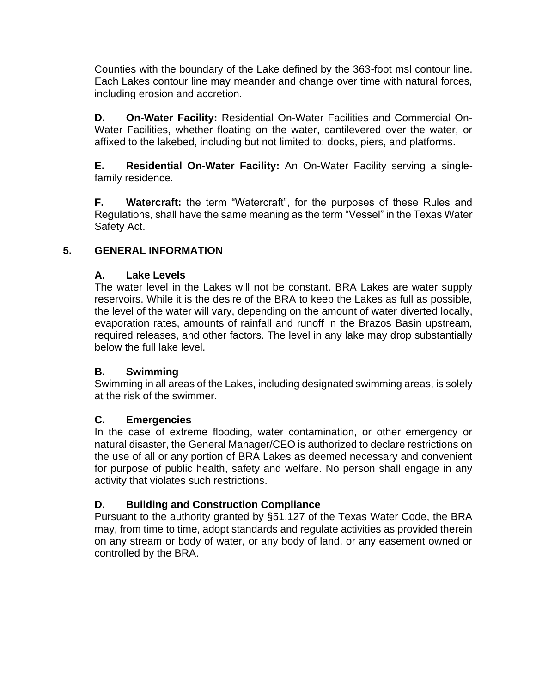Counties with the boundary of the Lake defined by the 363-foot msl contour line. Each Lakes contour line may meander and change over time with natural forces, including erosion and accretion.

**D. On-Water Facility:** Residential On-Water Facilities and Commercial On-Water Facilities, whether floating on the water, cantilevered over the water, or affixed to the lakebed, including but not limited to: docks, piers, and platforms.

**E. Residential On-Water Facility:** An On-Water Facility serving a singlefamily residence.

**F. Watercraft:** the term "Watercraft", for the purposes of these Rules and Regulations, shall have the same meaning as the term "Vessel" in the Texas Water Safety Act.

# **5. GENERAL INFORMATION**

## **A. Lake Levels**

The water level in the Lakes will not be constant. BRA Lakes are water supply reservoirs. While it is the desire of the BRA to keep the Lakes as full as possible, the level of the water will vary, depending on the amount of water diverted locally, evaporation rates, amounts of rainfall and runoff in the Brazos Basin upstream, required releases, and other factors. The level in any lake may drop substantially below the full lake level.

## **B. Swimming**

Swimming in all areas of the Lakes, including designated swimming areas, is solely at the risk of the swimmer.

## **C. Emergencies**

In the case of extreme flooding, water contamination, or other emergency or natural disaster, the General Manager/CEO is authorized to declare restrictions on the use of all or any portion of BRA Lakes as deemed necessary and convenient for purpose of public health, safety and welfare. No person shall engage in any activity that violates such restrictions.

# **D. Building and Construction Compliance**

Pursuant to the authority granted by §51.127 of the Texas Water Code, the BRA may, from time to time, adopt standards and regulate activities as provided therein on any stream or body of water, or any body of land, or any easement owned or controlled by the BRA.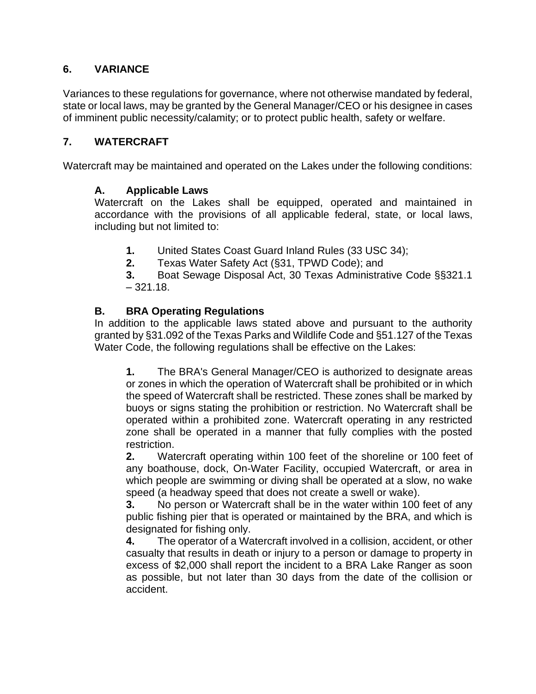# **6. VARIANCE**

Variances to these regulations for governance, where not otherwise mandated by federal, state or local laws, may be granted by the General Manager/CEO or his designee in cases of imminent public necessity/calamity; or to protect public health, safety or welfare.

## **7. WATERCRAFT**

Watercraft may be maintained and operated on the Lakes under the following conditions:

### **A. Applicable Laws**

Watercraft on the Lakes shall be equipped, operated and maintained in accordance with the provisions of all applicable federal, state, or local laws, including but not limited to:

- **1.** United States Coast Guard Inland Rules (33 USC 34);
- **2.** Texas Water Safety Act (§31, TPWD Code); and

**3.** Boat Sewage Disposal Act, 30 Texas Administrative Code §§321.1  $-321.18.$ 

## **B. BRA Operating Regulations**

In addition to the applicable laws stated above and pursuant to the authority granted by §31.092 of the Texas Parks and Wildlife Code and §51.127 of the Texas Water Code, the following regulations shall be effective on the Lakes:

**1.** The BRA's General Manager/CEO is authorized to designate areas or zones in which the operation of Watercraft shall be prohibited or in which the speed of Watercraft shall be restricted. These zones shall be marked by buoys or signs stating the prohibition or restriction. No Watercraft shall be operated within a prohibited zone. Watercraft operating in any restricted zone shall be operated in a manner that fully complies with the posted restriction.

**2.** Watercraft operating within 100 feet of the shoreline or 100 feet of any boathouse, dock, On-Water Facility, occupied Watercraft, or area in which people are swimming or diving shall be operated at a slow, no wake speed (a headway speed that does not create a swell or wake).

**3.** No person or Watercraft shall be in the water within 100 feet of any public fishing pier that is operated or maintained by the BRA, and which is designated for fishing only.

**4.** The operator of a Watercraft involved in a collision, accident, or other casualty that results in death or injury to a person or damage to property in excess of \$2,000 shall report the incident to a BRA Lake Ranger as soon as possible, but not later than 30 days from the date of the collision or accident.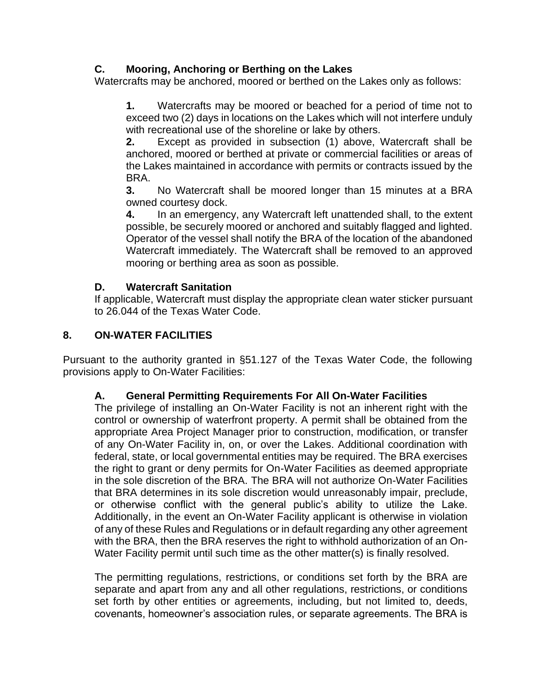# **C. Mooring, Anchoring or Berthing on the Lakes**

Watercrafts may be anchored, moored or berthed on the Lakes only as follows:

**1.** Watercrafts may be moored or beached for a period of time not to exceed two (2) days in locations on the Lakes which will not interfere unduly with recreational use of the shoreline or lake by others.

**2.** Except as provided in subsection (1) above, Watercraft shall be anchored, moored or berthed at private or commercial facilities or areas of the Lakes maintained in accordance with permits or contracts issued by the BRA.

**3.** No Watercraft shall be moored longer than 15 minutes at a BRA owned courtesy dock.

**4.** In an emergency, any Watercraft left unattended shall, to the extent possible, be securely moored or anchored and suitably flagged and lighted. Operator of the vessel shall notify the BRA of the location of the abandoned Watercraft immediately. The Watercraft shall be removed to an approved mooring or berthing area as soon as possible.

## **D. Watercraft Sanitation**

If applicable, Watercraft must display the appropriate clean water sticker pursuant to 26.044 of the Texas Water Code.

## **8. ON-WATER FACILITIES**

Pursuant to the authority granted in §51.127 of the Texas Water Code, the following provisions apply to On-Water Facilities:

## **A. General Permitting Requirements For All On-Water Facilities**

The privilege of installing an On-Water Facility is not an inherent right with the control or ownership of waterfront property. A permit shall be obtained from the appropriate Area Project Manager prior to construction, modification, or transfer of any On-Water Facility in, on, or over the Lakes. Additional coordination with federal, state, or local governmental entities may be required. The BRA exercises the right to grant or deny permits for On-Water Facilities as deemed appropriate in the sole discretion of the BRA. The BRA will not authorize On-Water Facilities that BRA determines in its sole discretion would unreasonably impair, preclude, or otherwise conflict with the general public's ability to utilize the Lake. Additionally, in the event an On-Water Facility applicant is otherwise in violation of any of these Rules and Regulations or in default regarding any other agreement with the BRA, then the BRA reserves the right to withhold authorization of an On-Water Facility permit until such time as the other matter(s) is finally resolved.

The permitting regulations, restrictions, or conditions set forth by the BRA are separate and apart from any and all other regulations, restrictions, or conditions set forth by other entities or agreements, including, but not limited to, deeds, covenants, homeowner's association rules, or separate agreements. The BRA is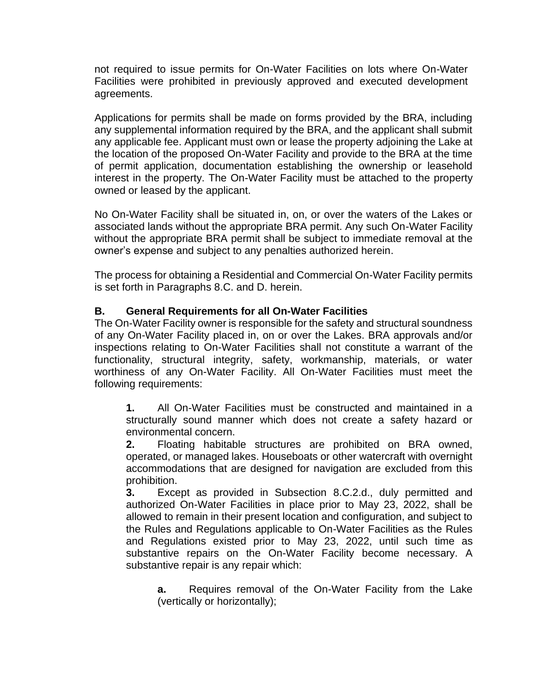not required to issue permits for On-Water Facilities on lots where On-Water Facilities were prohibited in previously approved and executed development agreements.

Applications for permits shall be made on forms provided by the BRA, including any supplemental information required by the BRA, and the applicant shall submit any applicable fee. Applicant must own or lease the property adjoining the Lake at the location of the proposed On-Water Facility and provide to the BRA at the time of permit application, documentation establishing the ownership or leasehold interest in the property. The On-Water Facility must be attached to the property owned or leased by the applicant.

No On-Water Facility shall be situated in, on, or over the waters of the Lakes or associated lands without the appropriate BRA permit. Any such On-Water Facility without the appropriate BRA permit shall be subject to immediate removal at the owner's expense and subject to any penalties authorized herein.

The process for obtaining a Residential and Commercial On-Water Facility permits is set forth in Paragraphs 8.C. and D. herein.

## **B. General Requirements for all On-Water Facilities**

The On-Water Facility owner is responsible for the safety and structural soundness of any On-Water Facility placed in, on or over the Lakes. BRA approvals and/or inspections relating to On-Water Facilities shall not constitute a warrant of the functionality, structural integrity, safety, workmanship, materials, or water worthiness of any On-Water Facility. All On-Water Facilities must meet the following requirements:

**1.** All On-Water Facilities must be constructed and maintained in a structurally sound manner which does not create a safety hazard or environmental concern.

**2.** Floating habitable structures are prohibited on BRA owned, operated, or managed lakes. Houseboats or other watercraft with overnight accommodations that are designed for navigation are excluded from this prohibition.

**3.** Except as provided in Subsection 8.C.2.d., duly permitted and authorized On-Water Facilities in place prior to May 23, 2022, shall be allowed to remain in their present location and configuration, and subject to the Rules and Regulations applicable to On-Water Facilities as the Rules and Regulations existed prior to May 23, 2022, until such time as substantive repairs on the On-Water Facility become necessary. A substantive repair is any repair which:

**a.** Requires removal of the On-Water Facility from the Lake (vertically or horizontally);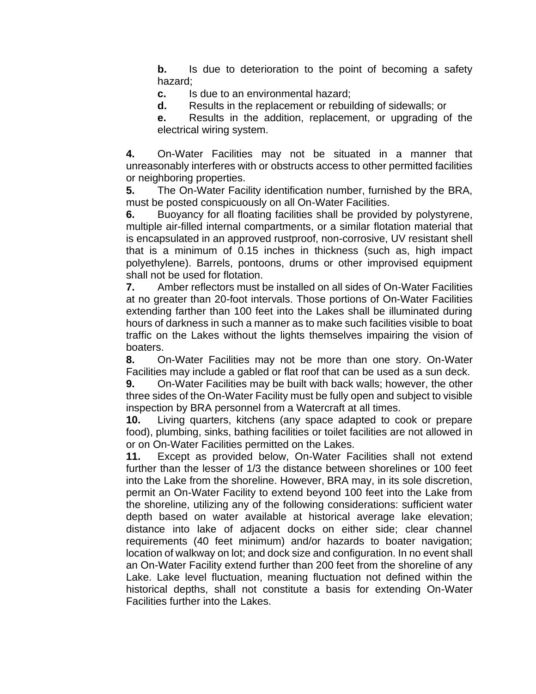**b.** Is due to deterioration to the point of becoming a safety hazard;

**c.** Is due to an environmental hazard;

**d.** Results in the replacement or rebuilding of sidewalls; or

**e.** Results in the addition, replacement, or upgrading of the electrical wiring system.

**4.** On-Water Facilities may not be situated in a manner that unreasonably interferes with or obstructs access to other permitted facilities or neighboring properties.

**5.** The On-Water Facility identification number, furnished by the BRA, must be posted conspicuously on all On-Water Facilities.

**6.** Buoyancy for all floating facilities shall be provided by polystyrene, multiple air-filled internal compartments, or a similar flotation material that is encapsulated in an approved rustproof, non-corrosive, UV resistant shell that is a minimum of 0.15 inches in thickness (such as, high impact polyethylene). Barrels, pontoons, drums or other improvised equipment shall not be used for flotation.

**7.** Amber reflectors must be installed on all sides of On-Water Facilities at no greater than 20-foot intervals. Those portions of On-Water Facilities extending farther than 100 feet into the Lakes shall be illuminated during hours of darkness in such a manner as to make such facilities visible to boat traffic on the Lakes without the lights themselves impairing the vision of boaters.

**8.** On-Water Facilities may not be more than one story. On-Water Facilities may include a gabled or flat roof that can be used as a sun deck.

**9.** On-Water Facilities may be built with back walls; however, the other three sides of the On-Water Facility must be fully open and subject to visible inspection by BRA personnel from a Watercraft at all times.

**10.** Living quarters, kitchens (any space adapted to cook or prepare food), plumbing, sinks, bathing facilities or toilet facilities are not allowed in or on On-Water Facilities permitted on the Lakes.

**11.** Except as provided below, On-Water Facilities shall not extend further than the lesser of 1/3 the distance between shorelines or 100 feet into the Lake from the shoreline. However, BRA may, in its sole discretion, permit an On-Water Facility to extend beyond 100 feet into the Lake from the shoreline, utilizing any of the following considerations: sufficient water depth based on water available at historical average lake elevation; distance into lake of adjacent docks on either side; clear channel requirements (40 feet minimum) and/or hazards to boater navigation; location of walkway on lot; and dock size and configuration. In no event shall an On-Water Facility extend further than 200 feet from the shoreline of any Lake. Lake level fluctuation, meaning fluctuation not defined within the historical depths, shall not constitute a basis for extending On-Water Facilities further into the Lakes.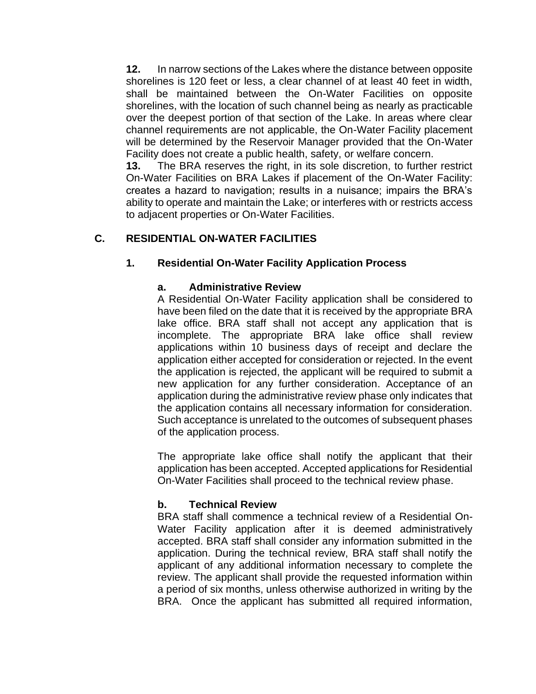**12.** In narrow sections of the Lakes where the distance between opposite shorelines is 120 feet or less, a clear channel of at least 40 feet in width, shall be maintained between the On-Water Facilities on opposite shorelines, with the location of such channel being as nearly as practicable over the deepest portion of that section of the Lake. In areas where clear channel requirements are not applicable, the On-Water Facility placement will be determined by the Reservoir Manager provided that the On-Water Facility does not create a public health, safety, or welfare concern.

**13.** The BRA reserves the right, in its sole discretion, to further restrict On-Water Facilities on BRA Lakes if placement of the On-Water Facility: creates a hazard to navigation; results in a nuisance; impairs the BRA's ability to operate and maintain the Lake; or interferes with or restricts access to adjacent properties or On-Water Facilities.

### **C. RESIDENTIAL ON-WATER FACILITIES**

### **1. Residential On-Water Facility Application Process**

### **a. Administrative Review**

A Residential On-Water Facility application shall be considered to have been filed on the date that it is received by the appropriate BRA lake office. BRA staff shall not accept any application that is incomplete. The appropriate BRA lake office shall review applications within 10 business days of receipt and declare the application either accepted for consideration or rejected. In the event the application is rejected, the applicant will be required to submit a new application for any further consideration. Acceptance of an application during the administrative review phase only indicates that the application contains all necessary information for consideration. Such acceptance is unrelated to the outcomes of subsequent phases of the application process.

The appropriate lake office shall notify the applicant that their application has been accepted. Accepted applications for Residential On-Water Facilities shall proceed to the technical review phase.

## **b. Technical Review**

BRA staff shall commence a technical review of a Residential On-Water Facility application after it is deemed administratively accepted. BRA staff shall consider any information submitted in the application. During the technical review, BRA staff shall notify the applicant of any additional information necessary to complete the review. The applicant shall provide the requested information within a period of six months, unless otherwise authorized in writing by the BRA. Once the applicant has submitted all required information,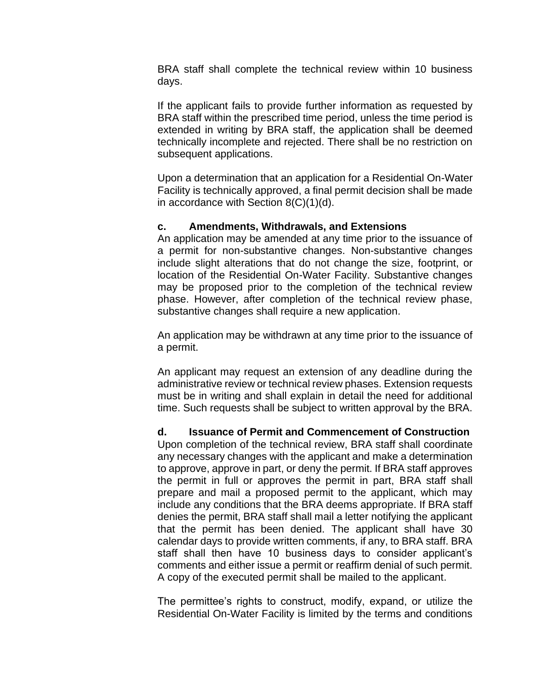BRA staff shall complete the technical review within 10 business days.

If the applicant fails to provide further information as requested by BRA staff within the prescribed time period, unless the time period is extended in writing by BRA staff, the application shall be deemed technically incomplete and rejected. There shall be no restriction on subsequent applications.

Upon a determination that an application for a Residential On-Water Facility is technically approved, a final permit decision shall be made in accordance with Section 8(C)(1)(d).

### **c. Amendments, Withdrawals, and Extensions**

An application may be amended at any time prior to the issuance of a permit for non-substantive changes. Non-substantive changes include slight alterations that do not change the size, footprint, or location of the Residential On-Water Facility. Substantive changes may be proposed prior to the completion of the technical review phase. However, after completion of the technical review phase, substantive changes shall require a new application.

An application may be withdrawn at any time prior to the issuance of a permit.

An applicant may request an extension of any deadline during the administrative review or technical review phases. Extension requests must be in writing and shall explain in detail the need for additional time. Such requests shall be subject to written approval by the BRA.

**d. Issuance of Permit and Commencement of Construction**

Upon completion of the technical review, BRA staff shall coordinate any necessary changes with the applicant and make a determination to approve, approve in part, or deny the permit. If BRA staff approves the permit in full or approves the permit in part, BRA staff shall prepare and mail a proposed permit to the applicant, which may include any conditions that the BRA deems appropriate. If BRA staff denies the permit, BRA staff shall mail a letter notifying the applicant that the permit has been denied. The applicant shall have 30 calendar days to provide written comments, if any, to BRA staff. BRA staff shall then have 10 business days to consider applicant's comments and either issue a permit or reaffirm denial of such permit. A copy of the executed permit shall be mailed to the applicant.

The permittee's rights to construct, modify, expand, or utilize the Residential On-Water Facility is limited by the terms and conditions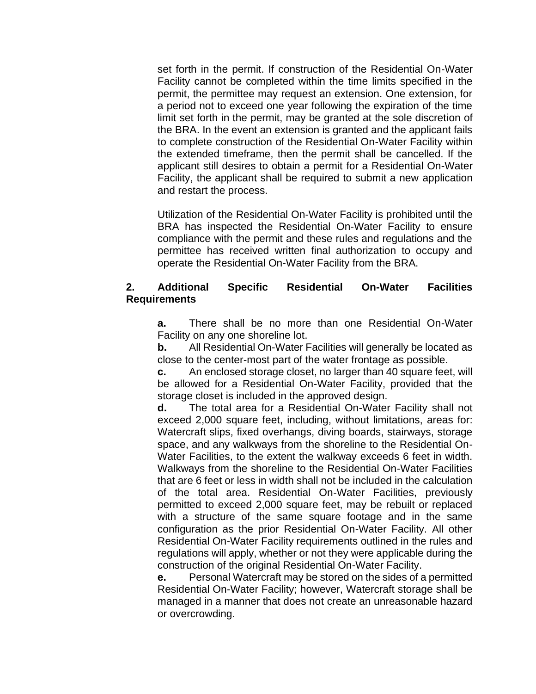set forth in the permit. If construction of the Residential On-Water Facility cannot be completed within the time limits specified in the permit, the permittee may request an extension. One extension, for a period not to exceed one year following the expiration of the time limit set forth in the permit, may be granted at the sole discretion of the BRA. In the event an extension is granted and the applicant fails to complete construction of the Residential On-Water Facility within the extended timeframe, then the permit shall be cancelled. If the applicant still desires to obtain a permit for a Residential On-Water Facility, the applicant shall be required to submit a new application and restart the process.

Utilization of the Residential On-Water Facility is prohibited until the BRA has inspected the Residential On-Water Facility to ensure compliance with the permit and these rules and regulations and the permittee has received written final authorization to occupy and operate the Residential On-Water Facility from the BRA.

## **2. Additional Specific Residential On-Water Facilities Requirements**

**a.** There shall be no more than one Residential On-Water Facility on any one shoreline lot.

**b.** All Residential On-Water Facilities will generally be located as close to the center-most part of the water frontage as possible.

**c.** An enclosed storage closet, no larger than 40 square feet, will be allowed for a Residential On-Water Facility, provided that the storage closet is included in the approved design.

**d.** The total area for a Residential On-Water Facility shall not exceed 2,000 square feet, including, without limitations, areas for: Watercraft slips, fixed overhangs, diving boards, stairways, storage space, and any walkways from the shoreline to the Residential On-Water Facilities, to the extent the walkway exceeds 6 feet in width. Walkways from the shoreline to the Residential On-Water Facilities that are 6 feet or less in width shall not be included in the calculation of the total area. Residential On-Water Facilities, previously permitted to exceed 2,000 square feet, may be rebuilt or replaced with a structure of the same square footage and in the same configuration as the prior Residential On-Water Facility. All other Residential On-Water Facility requirements outlined in the rules and regulations will apply, whether or not they were applicable during the construction of the original Residential On-Water Facility.

**e.** Personal Watercraft may be stored on the sides of a permitted Residential On-Water Facility; however, Watercraft storage shall be managed in a manner that does not create an unreasonable hazard or overcrowding.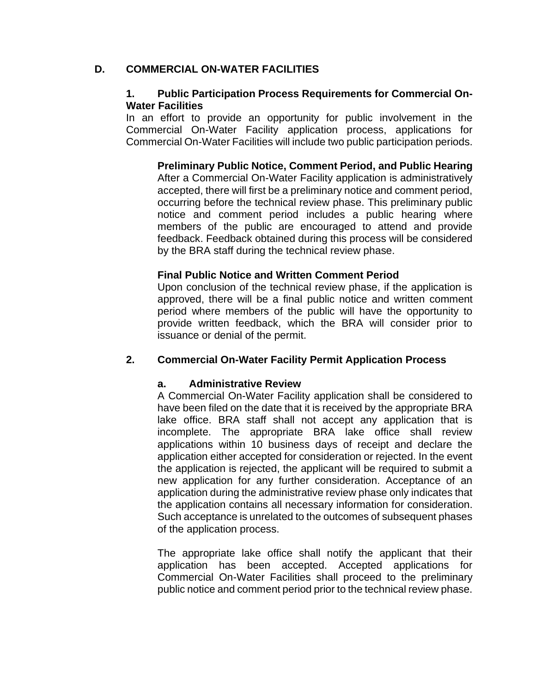### **D. COMMERCIAL ON-WATER FACILITIES**

### **1. Public Participation Process Requirements for Commercial On-Water Facilities**

In an effort to provide an opportunity for public involvement in the Commercial On-Water Facility application process, applications for Commercial On-Water Facilities will include two public participation periods.

**Preliminary Public Notice, Comment Period, and Public Hearing**  After a Commercial On-Water Facility application is administratively accepted, there will first be a preliminary notice and comment period, occurring before the technical review phase. This preliminary public notice and comment period includes a public hearing where members of the public are encouraged to attend and provide feedback. Feedback obtained during this process will be considered by the BRA staff during the technical review phase.

### **Final Public Notice and Written Comment Period**

Upon conclusion of the technical review phase, if the application is approved, there will be a final public notice and written comment period where members of the public will have the opportunity to provide written feedback, which the BRA will consider prior to issuance or denial of the permit.

## **2. Commercial On-Water Facility Permit Application Process**

## **a. Administrative Review**

A Commercial On-Water Facility application shall be considered to have been filed on the date that it is received by the appropriate BRA lake office. BRA staff shall not accept any application that is incomplete. The appropriate BRA lake office shall review applications within 10 business days of receipt and declare the application either accepted for consideration or rejected. In the event the application is rejected, the applicant will be required to submit a new application for any further consideration. Acceptance of an application during the administrative review phase only indicates that the application contains all necessary information for consideration. Such acceptance is unrelated to the outcomes of subsequent phases of the application process.

The appropriate lake office shall notify the applicant that their application has been accepted. Accepted applications for Commercial On-Water Facilities shall proceed to the preliminary public notice and comment period prior to the technical review phase.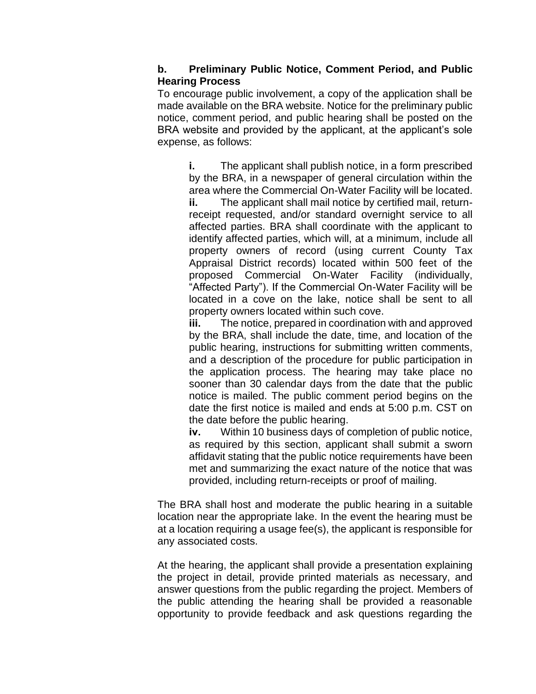### **b. Preliminary Public Notice, Comment Period, and Public Hearing Process**

To encourage public involvement, a copy of the application shall be made available on the BRA website. Notice for the preliminary public notice, comment period, and public hearing shall be posted on the BRA website and provided by the applicant, at the applicant's sole expense, as follows:

**i.** The applicant shall publish notice, in a form prescribed by the BRA, in a newspaper of general circulation within the area where the Commercial On-Water Facility will be located. **ii.** The applicant shall mail notice by certified mail, returnreceipt requested, and/or standard overnight service to all affected parties. BRA shall coordinate with the applicant to identify affected parties, which will, at a minimum, include all property owners of record (using current County Tax Appraisal District records) located within 500 feet of the proposed Commercial On-Water Facility (individually, "Affected Party"). If the Commercial On-Water Facility will be located in a cove on the lake, notice shall be sent to all property owners located within such cove.

**iii.** The notice, prepared in coordination with and approved by the BRA, shall include the date, time, and location of the public hearing, instructions for submitting written comments, and a description of the procedure for public participation in the application process. The hearing may take place no sooner than 30 calendar days from the date that the public notice is mailed. The public comment period begins on the date the first notice is mailed and ends at 5:00 p.m. CST on the date before the public hearing.

**iv.** Within 10 business days of completion of public notice, as required by this section, applicant shall submit a sworn affidavit stating that the public notice requirements have been met and summarizing the exact nature of the notice that was provided, including return-receipts or proof of mailing.

The BRA shall host and moderate the public hearing in a suitable location near the appropriate lake. In the event the hearing must be at a location requiring a usage fee(s), the applicant is responsible for any associated costs.

At the hearing, the applicant shall provide a presentation explaining the project in detail, provide printed materials as necessary, and answer questions from the public regarding the project. Members of the public attending the hearing shall be provided a reasonable opportunity to provide feedback and ask questions regarding the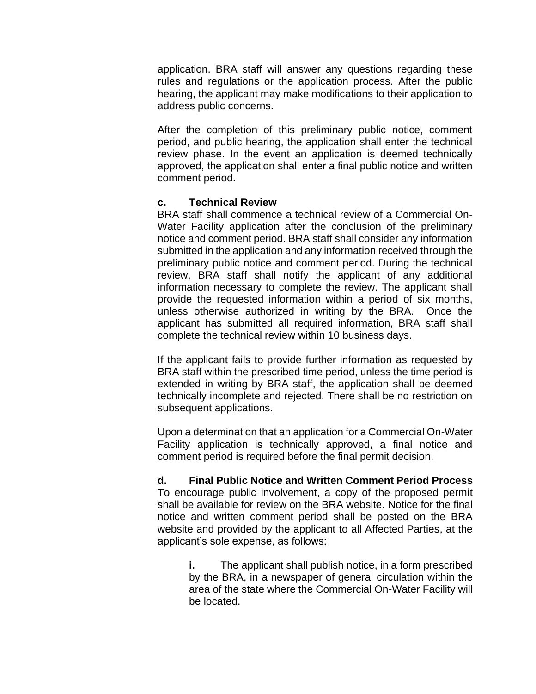application. BRA staff will answer any questions regarding these rules and regulations or the application process. After the public hearing, the applicant may make modifications to their application to address public concerns.

After the completion of this preliminary public notice, comment period, and public hearing, the application shall enter the technical review phase. In the event an application is deemed technically approved, the application shall enter a final public notice and written comment period.

### **c. Technical Review**

BRA staff shall commence a technical review of a Commercial On-Water Facility application after the conclusion of the preliminary notice and comment period. BRA staff shall consider any information submitted in the application and any information received through the preliminary public notice and comment period. During the technical review, BRA staff shall notify the applicant of any additional information necessary to complete the review. The applicant shall provide the requested information within a period of six months, unless otherwise authorized in writing by the BRA. Once the applicant has submitted all required information, BRA staff shall complete the technical review within 10 business days.

If the applicant fails to provide further information as requested by BRA staff within the prescribed time period, unless the time period is extended in writing by BRA staff, the application shall be deemed technically incomplete and rejected. There shall be no restriction on subsequent applications.

Upon a determination that an application for a Commercial On-Water Facility application is technically approved, a final notice and comment period is required before the final permit decision.

**d. Final Public Notice and Written Comment Period Process** To encourage public involvement, a copy of the proposed permit shall be available for review on the BRA website. Notice for the final notice and written comment period shall be posted on the BRA website and provided by the applicant to all Affected Parties, at the applicant's sole expense, as follows:

> **i.** The applicant shall publish notice, in a form prescribed by the BRA, in a newspaper of general circulation within the area of the state where the Commercial On-Water Facility will be located.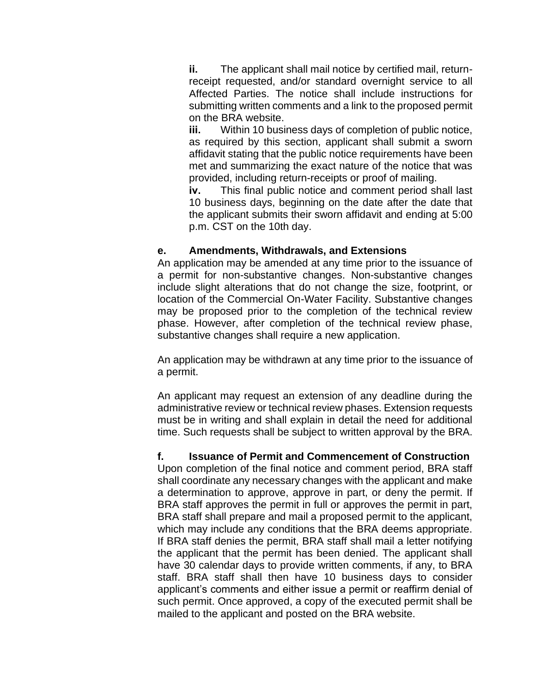**ii.** The applicant shall mail notice by certified mail, returnreceipt requested, and/or standard overnight service to all Affected Parties. The notice shall include instructions for submitting written comments and a link to the proposed permit on the BRA website.

**iii.** Within 10 business days of completion of public notice, as required by this section, applicant shall submit a sworn affidavit stating that the public notice requirements have been met and summarizing the exact nature of the notice that was provided, including return-receipts or proof of mailing.

**iv.** This final public notice and comment period shall last 10 business days, beginning on the date after the date that the applicant submits their sworn affidavit and ending at 5:00 p.m. CST on the 10th day.

#### **e. Amendments, Withdrawals, and Extensions**

An application may be amended at any time prior to the issuance of a permit for non-substantive changes. Non-substantive changes include slight alterations that do not change the size, footprint, or location of the Commercial On-Water Facility. Substantive changes may be proposed prior to the completion of the technical review phase. However, after completion of the technical review phase, substantive changes shall require a new application.

An application may be withdrawn at any time prior to the issuance of a permit.

An applicant may request an extension of any deadline during the administrative review or technical review phases. Extension requests must be in writing and shall explain in detail the need for additional time. Such requests shall be subject to written approval by the BRA.

### **f. Issuance of Permit and Commencement of Construction**

Upon completion of the final notice and comment period, BRA staff shall coordinate any necessary changes with the applicant and make a determination to approve, approve in part, or deny the permit. If BRA staff approves the permit in full or approves the permit in part, BRA staff shall prepare and mail a proposed permit to the applicant, which may include any conditions that the BRA deems appropriate. If BRA staff denies the permit, BRA staff shall mail a letter notifying the applicant that the permit has been denied. The applicant shall have 30 calendar days to provide written comments, if any, to BRA staff. BRA staff shall then have 10 business days to consider applicant's comments and either issue a permit or reaffirm denial of such permit. Once approved, a copy of the executed permit shall be mailed to the applicant and posted on the BRA website.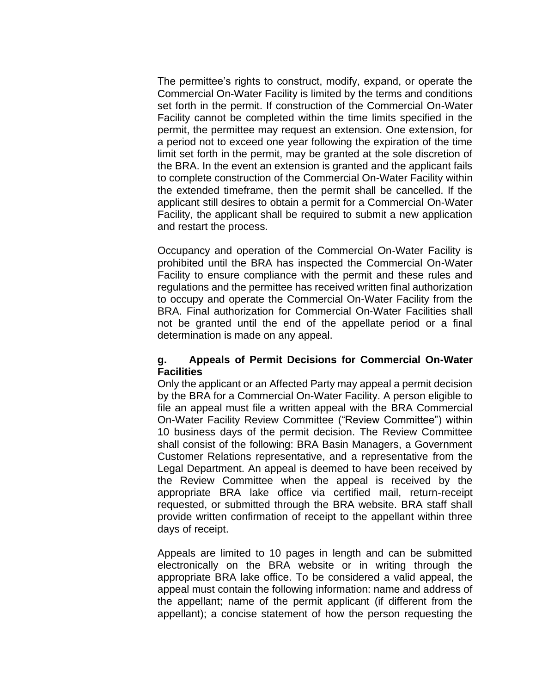The permittee's rights to construct, modify, expand, or operate the Commercial On-Water Facility is limited by the terms and conditions set forth in the permit. If construction of the Commercial On-Water Facility cannot be completed within the time limits specified in the permit, the permittee may request an extension. One extension, for a period not to exceed one year following the expiration of the time limit set forth in the permit, may be granted at the sole discretion of the BRA. In the event an extension is granted and the applicant fails to complete construction of the Commercial On-Water Facility within the extended timeframe, then the permit shall be cancelled. If the applicant still desires to obtain a permit for a Commercial On-Water Facility, the applicant shall be required to submit a new application and restart the process.

Occupancy and operation of the Commercial On-Water Facility is prohibited until the BRA has inspected the Commercial On-Water Facility to ensure compliance with the permit and these rules and regulations and the permittee has received written final authorization to occupy and operate the Commercial On-Water Facility from the BRA. Final authorization for Commercial On-Water Facilities shall not be granted until the end of the appellate period or a final determination is made on any appeal.

#### **g. Appeals of Permit Decisions for Commercial On-Water Facilities**

Only the applicant or an Affected Party may appeal a permit decision by the BRA for a Commercial On-Water Facility. A person eligible to file an appeal must file a written appeal with the BRA Commercial On-Water Facility Review Committee ("Review Committee") within 10 business days of the permit decision. The Review Committee shall consist of the following: BRA Basin Managers, a Government Customer Relations representative, and a representative from the Legal Department. An appeal is deemed to have been received by the Review Committee when the appeal is received by the appropriate BRA lake office via certified mail, return-receipt requested, or submitted through the BRA website. BRA staff shall provide written confirmation of receipt to the appellant within three days of receipt.

Appeals are limited to 10 pages in length and can be submitted electronically on the BRA website or in writing through the appropriate BRA lake office. To be considered a valid appeal, the appeal must contain the following information: name and address of the appellant; name of the permit applicant (if different from the appellant); a concise statement of how the person requesting the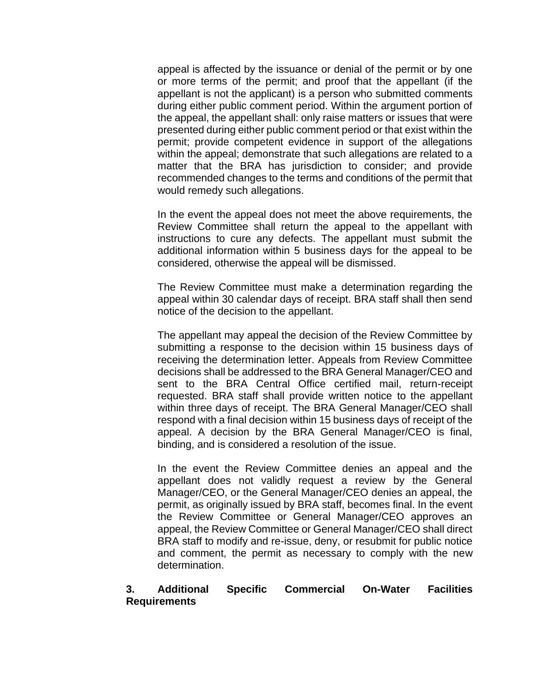appeal is affected by the issuance or denial of the permit or by one or more terms of the permit; and proof that the appellant (if the appellant is not the applicant) is a person who submitted comments during either public comment period. Within the argument portion of the appeal, the appellant shall: only raise matters or issues that were presented during either public comment period or that exist within the permit; provide competent evidence in support of the allegations within the appeal; demonstrate that such allegations are related to a matter that the BRA has jurisdiction to consider; and provide recommended changes to the terms and conditions of the permit that would remedy such allegations.

In the event the appeal does not meet the above requirements, the Review Committee shall return the appeal to the appellant with instructions to cure any defects. The appellant must submit the additional information within 5 business days for the appeal to be considered, otherwise the appeal will be dismissed.

The Review Committee must make a determination regarding the appeal within 30 calendar days of receipt. BRA staff shall then send notice of the decision to the appellant.

The appellant may appeal the decision of the Review Committee by submitting a response to the decision within 15 business days of receiving the determination letter. Appeals from Review Committee decisions shall be addressed to the BRA General Manager/CEO and sent to the BRA Central Office certified mail, return-receipt requested. BRA staff shall provide written notice to the appellant within three days of receipt. The BRA General Manager/CEO shall respond with a final decision within 15 business days of receipt of the appeal. A decision by the BRA General Manager/CEO is final, binding, and is considered a resolution of the issue.

In the event the Review Committee denies an appeal and the appellant does not validly request a review by the General Manager/CEO, or the General Manager/CEO denies an appeal, the permit, as originally issued by BRA staff, becomes final. In the event the Review Committee or General Manager/CEO approves an appeal, the Review Committee or General Manager/CEO shall direct BRA staff to modify and re-issue, deny, or resubmit for public notice and comment, the permit as necessary to comply with the new determination.

### **3. Additional Specific Commercial On-Water Facilities Requirements**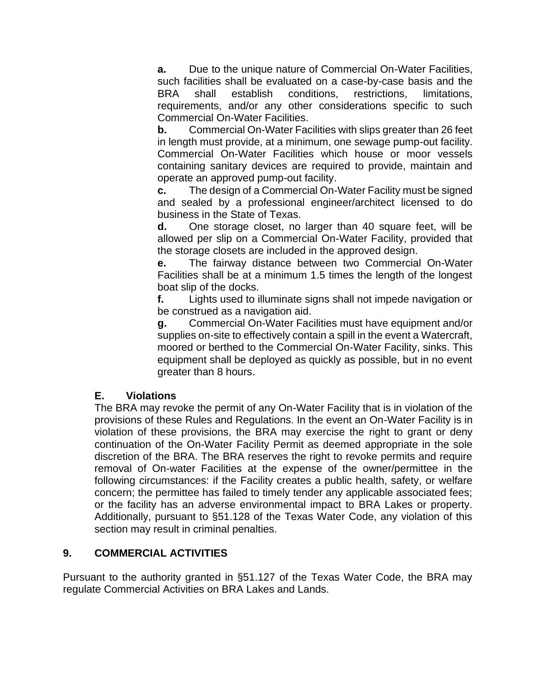**a.** Due to the unique nature of Commercial On-Water Facilities, such facilities shall be evaluated on a case-by-case basis and the BRA shall establish conditions, restrictions, limitations, requirements, and/or any other considerations specific to such Commercial On-Water Facilities.

**b.** Commercial On-Water Facilities with slips greater than 26 feet in length must provide, at a minimum, one sewage pump-out facility. Commercial On-Water Facilities which house or moor vessels containing sanitary devices are required to provide, maintain and operate an approved pump-out facility.

**c.** The design of a Commercial On-Water Facility must be signed and sealed by a professional engineer/architect licensed to do business in the State of Texas.

**d.** One storage closet, no larger than 40 square feet, will be allowed per slip on a Commercial On-Water Facility, provided that the storage closets are included in the approved design.

**e.** The fairway distance between two Commercial On-Water Facilities shall be at a minimum 1.5 times the length of the longest boat slip of the docks.

**f.** Lights used to illuminate signs shall not impede navigation or be construed as a navigation aid.

**g.** Commercial On-Water Facilities must have equipment and/or supplies on-site to effectively contain a spill in the event a Watercraft, moored or berthed to the Commercial On-Water Facility, sinks. This equipment shall be deployed as quickly as possible, but in no event greater than 8 hours.

## **E. Violations**

The BRA may revoke the permit of any On-Water Facility that is in violation of the provisions of these Rules and Regulations. In the event an On-Water Facility is in violation of these provisions, the BRA may exercise the right to grant or deny continuation of the On-Water Facility Permit as deemed appropriate in the sole discretion of the BRA. The BRA reserves the right to revoke permits and require removal of On-water Facilities at the expense of the owner/permittee in the following circumstances: if the Facility creates a public health, safety, or welfare concern; the permittee has failed to timely tender any applicable associated fees; or the facility has an adverse environmental impact to BRA Lakes or property. Additionally, pursuant to §51.128 of the Texas Water Code, any violation of this section may result in criminal penalties.

## **9. COMMERCIAL ACTIVITIES**

Pursuant to the authority granted in §51.127 of the Texas Water Code, the BRA may regulate Commercial Activities on BRA Lakes and Lands.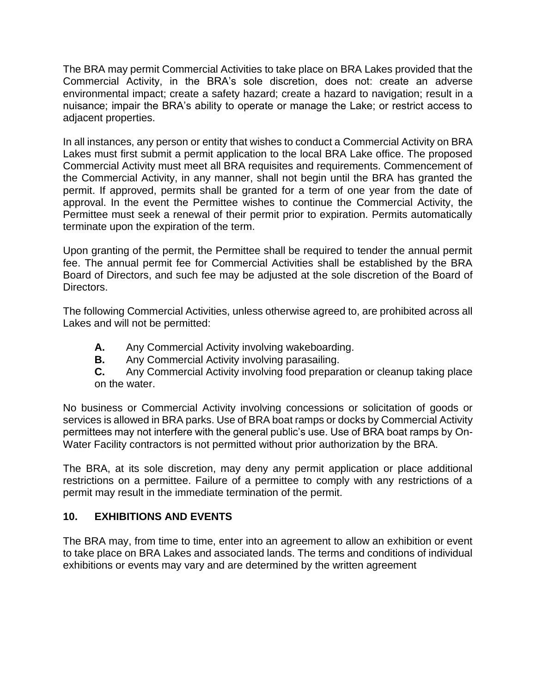The BRA may permit Commercial Activities to take place on BRA Lakes provided that the Commercial Activity, in the BRA's sole discretion, does not: create an adverse environmental impact; create a safety hazard; create a hazard to navigation; result in a nuisance; impair the BRA's ability to operate or manage the Lake; or restrict access to adjacent properties.

In all instances, any person or entity that wishes to conduct a Commercial Activity on BRA Lakes must first submit a permit application to the local BRA Lake office. The proposed Commercial Activity must meet all BRA requisites and requirements. Commencement of the Commercial Activity, in any manner, shall not begin until the BRA has granted the permit. If approved, permits shall be granted for a term of one year from the date of approval. In the event the Permittee wishes to continue the Commercial Activity, the Permittee must seek a renewal of their permit prior to expiration. Permits automatically terminate upon the expiration of the term.

Upon granting of the permit, the Permittee shall be required to tender the annual permit fee. The annual permit fee for Commercial Activities shall be established by the BRA Board of Directors, and such fee may be adjusted at the sole discretion of the Board of Directors.

The following Commercial Activities, unless otherwise agreed to, are prohibited across all Lakes and will not be permitted:

- **A.** Any Commercial Activity involving wakeboarding.
- **B.** Any Commercial Activity involving parasailing.
- **C.** Any Commercial Activity involving food preparation or cleanup taking place on the water.

No business or Commercial Activity involving concessions or solicitation of goods or services is allowed in BRA parks. Use of BRA boat ramps or docks by Commercial Activity permittees may not interfere with the general public's use. Use of BRA boat ramps by On-Water Facility contractors is not permitted without prior authorization by the BRA.

The BRA, at its sole discretion, may deny any permit application or place additional restrictions on a permittee. Failure of a permittee to comply with any restrictions of a permit may result in the immediate termination of the permit.

# **10. EXHIBITIONS AND EVENTS**

The BRA may, from time to time, enter into an agreement to allow an exhibition or event to take place on BRA Lakes and associated lands. The terms and conditions of individual exhibitions or events may vary and are determined by the written agreement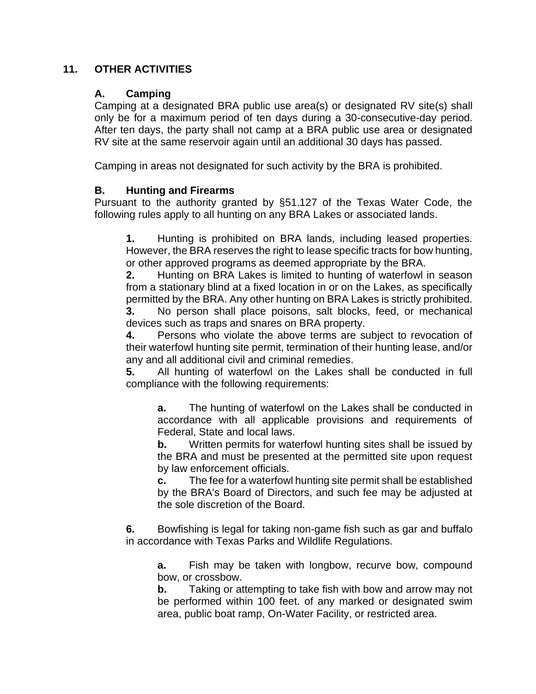### **11. OTHER ACTIVITIES**

### **A. Camping**

Camping at a designated BRA public use area(s) or designated RV site(s) shall only be for a maximum period of ten days during a 30-consecutive-day period. After ten days, the party shall not camp at a BRA public use area or designated RV site at the same reservoir again until an additional 30 days has passed.

Camping in areas not designated for such activity by the BRA is prohibited.

### **B. Hunting and Firearms**

Pursuant to the authority granted by §51.127 of the Texas Water Code, the following rules apply to all hunting on any BRA Lakes or associated lands.

**1.** Hunting is prohibited on BRA lands, including leased properties. However, the BRA reserves the right to lease specific tracts for bow hunting, or other approved programs as deemed appropriate by the BRA.

**2.** Hunting on BRA Lakes is limited to hunting of waterfowl in season from a stationary blind at a fixed location in or on the Lakes, as specifically permitted by the BRA. Any other hunting on BRA Lakes is strictly prohibited.

**3.** No person shall place poisons, salt blocks, feed, or mechanical devices such as traps and snares on BRA property.

**4.** Persons who violate the above terms are subject to revocation of their waterfowl hunting site permit, termination of their hunting lease, and/or any and all additional civil and criminal remedies.

**5.** All hunting of waterfowl on the Lakes shall be conducted in full compliance with the following requirements:

**a.** The hunting of waterfowl on the Lakes shall be conducted in accordance with all applicable provisions and requirements of Federal, State and local laws.

**b.** Written permits for waterfowl hunting sites shall be issued by the BRA and must be presented at the permitted site upon request by law enforcement officials.

**c.** The fee for a waterfowl hunting site permit shall be established by the BRA's Board of Directors, and such fee may be adjusted at the sole discretion of the Board.

**6.** Bowfishing is legal for taking non-game fish such as gar and buffalo in accordance with Texas Parks and Wildlife Regulations.

**a.** Fish may be taken with longbow, recurve bow, compound bow, or crossbow.

**b.** Taking or attempting to take fish with bow and arrow may not be performed within 100 feet. of any marked or designated swim area, public boat ramp, On-Water Facility, or restricted area.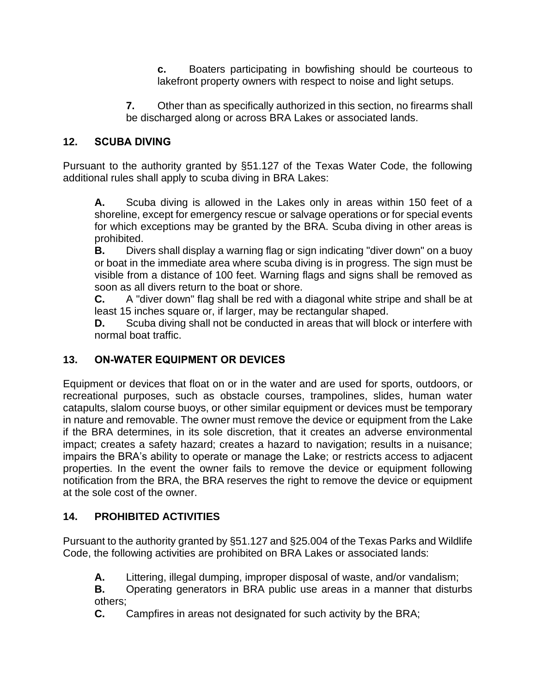**c.** Boaters participating in bowfishing should be courteous to lakefront property owners with respect to noise and light setups.

**7.** Other than as specifically authorized in this section, no firearms shall be discharged along or across BRA Lakes or associated lands.

# **12. SCUBA DIVING**

Pursuant to the authority granted by §51.127 of the Texas Water Code, the following additional rules shall apply to scuba diving in BRA Lakes:

**A.** Scuba diving is allowed in the Lakes only in areas within 150 feet of a shoreline, except for emergency rescue or salvage operations or for special events for which exceptions may be granted by the BRA. Scuba diving in other areas is prohibited.

**B.** Divers shall display a warning flag or sign indicating "diver down" on a buoy or boat in the immediate area where scuba diving is in progress. The sign must be visible from a distance of 100 feet. Warning flags and signs shall be removed as soon as all divers return to the boat or shore.

**C.** A "diver down" flag shall be red with a diagonal white stripe and shall be at least 15 inches square or, if larger, may be rectangular shaped.

**D.** Scuba diving shall not be conducted in areas that will block or interfere with normal boat traffic.

# **13. ON-WATER EQUIPMENT OR DEVICES**

Equipment or devices that float on or in the water and are used for sports, outdoors, or recreational purposes, such as obstacle courses, trampolines, slides, human water catapults, slalom course buoys, or other similar equipment or devices must be temporary in nature and removable. The owner must remove the device or equipment from the Lake if the BRA determines, in its sole discretion, that it creates an adverse environmental impact; creates a safety hazard; creates a hazard to navigation; results in a nuisance; impairs the BRA's ability to operate or manage the Lake; or restricts access to adjacent properties. In the event the owner fails to remove the device or equipment following notification from the BRA, the BRA reserves the right to remove the device or equipment at the sole cost of the owner.

# **14. PROHIBITED ACTIVITIES**

Pursuant to the authority granted by §51.127 and §25.004 of the Texas Parks and Wildlife Code, the following activities are prohibited on BRA Lakes or associated lands:

**A.** Littering, illegal dumping, improper disposal of waste, and/or vandalism;

**B.** Operating generators in BRA public use areas in a manner that disturbs others;

**C.** Campfires in areas not designated for such activity by the BRA;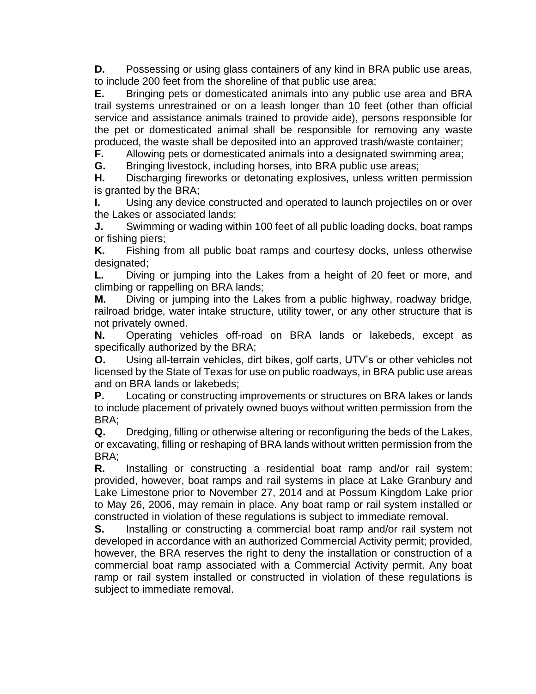**D.** Possessing or using glass containers of any kind in BRA public use areas, to include 200 feet from the shoreline of that public use area;

**E.** Bringing pets or domesticated animals into any public use area and BRA trail systems unrestrained or on a leash longer than 10 feet (other than official service and assistance animals trained to provide aide), persons responsible for the pet or domesticated animal shall be responsible for removing any waste produced, the waste shall be deposited into an approved trash/waste container;

**F.** Allowing pets or domesticated animals into a designated swimming area;

**G.** Bringing livestock, including horses, into BRA public use areas;

**H.** Discharging fireworks or detonating explosives, unless written permission is granted by the BRA;

**I.** Using any device constructed and operated to launch projectiles on or over the Lakes or associated lands;

**J.** Swimming or wading within 100 feet of all public loading docks, boat ramps or fishing piers;

**K.** Fishing from all public boat ramps and courtesy docks, unless otherwise designated;

**L.** Diving or jumping into the Lakes from a height of 20 feet or more, and climbing or rappelling on BRA lands;

**M.** Diving or jumping into the Lakes from a public highway, roadway bridge, railroad bridge, water intake structure, utility tower, or any other structure that is not privately owned.

**N.** Operating vehicles off-road on BRA lands or lakebeds, except as specifically authorized by the BRA;

**O.** Using all-terrain vehicles, dirt bikes, golf carts, UTV's or other vehicles not licensed by the State of Texas for use on public roadways, in BRA public use areas and on BRA lands or lakebeds;

**P.** Locating or constructing improvements or structures on BRA lakes or lands to include placement of privately owned buoys without written permission from the BRA;

**Q.** Dredging, filling or otherwise altering or reconfiguring the beds of the Lakes, or excavating, filling or reshaping of BRA lands without written permission from the BRA;

**R.** Installing or constructing a residential boat ramp and/or rail system; provided, however, boat ramps and rail systems in place at Lake Granbury and Lake Limestone prior to November 27, 2014 and at Possum Kingdom Lake prior to May 26, 2006, may remain in place. Any boat ramp or rail system installed or constructed in violation of these regulations is subject to immediate removal.

**S.** Installing or constructing a commercial boat ramp and/or rail system not developed in accordance with an authorized Commercial Activity permit; provided, however, the BRA reserves the right to deny the installation or construction of a commercial boat ramp associated with a Commercial Activity permit. Any boat ramp or rail system installed or constructed in violation of these regulations is subject to immediate removal.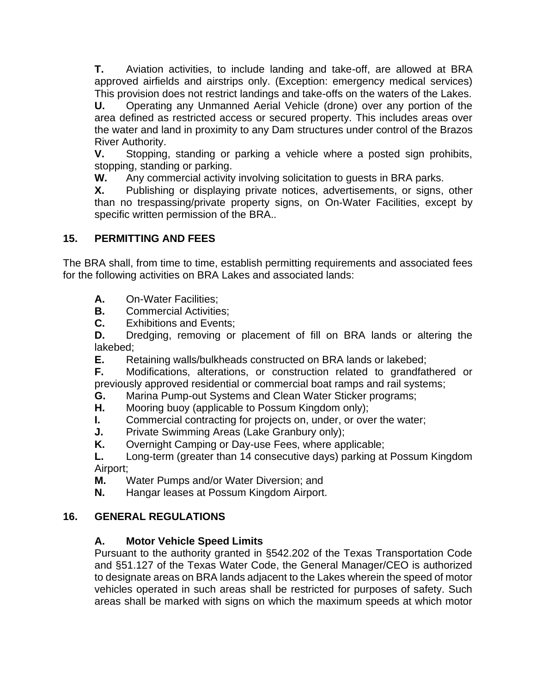**T.** Aviation activities, to include landing and take-off, are allowed at BRA approved airfields and airstrips only. (Exception: emergency medical services) This provision does not restrict landings and take-offs on the waters of the Lakes.

**U.** Operating any Unmanned Aerial Vehicle (drone) over any portion of the area defined as restricted access or secured property. This includes areas over the water and land in proximity to any Dam structures under control of the Brazos River Authority.

**V.** Stopping, standing or parking a vehicle where a posted sign prohibits, stopping, standing or parking.

**W.** Any commercial activity involving solicitation to guests in BRA parks.

**X.** Publishing or displaying private notices, advertisements, or signs, other than no trespassing/private property signs, on On-Water Facilities, except by specific written permission of the BRA..

## **15. PERMITTING AND FEES**

The BRA shall, from time to time, establish permitting requirements and associated fees for the following activities on BRA Lakes and associated lands:

- **A.** On-Water Facilities;
- **B.** Commercial Activities;
- **C.** Exhibitions and Events;

**D.** Dredging, removing or placement of fill on BRA lands or altering the lakebed;

**E.** Retaining walls/bulkheads constructed on BRA lands or lakebed;

**F.** Modifications, alterations, or construction related to grandfathered or previously approved residential or commercial boat ramps and rail systems;

- **G.** Marina Pump-out Systems and Clean Water Sticker programs;
- **H.** Mooring buoy (applicable to Possum Kingdom only);
- **I.** Commercial contracting for projects on, under, or over the water;
- **J.** Private Swimming Areas (Lake Granbury only);
- **K.** Overnight Camping or Day-use Fees, where applicable;

**L.** Long-term (greater than 14 consecutive days) parking at Possum Kingdom Airport;

- **M.** Water Pumps and/or Water Diversion; and
- **N.** Hangar leases at Possum Kingdom Airport.

## **16. GENERAL REGULATIONS**

## **A. Motor Vehicle Speed Limits**

Pursuant to the authority granted in §542.202 of the Texas Transportation Code and §51.127 of the Texas Water Code, the General Manager/CEO is authorized to designate areas on BRA lands adjacent to the Lakes wherein the speed of motor vehicles operated in such areas shall be restricted for purposes of safety. Such areas shall be marked with signs on which the maximum speeds at which motor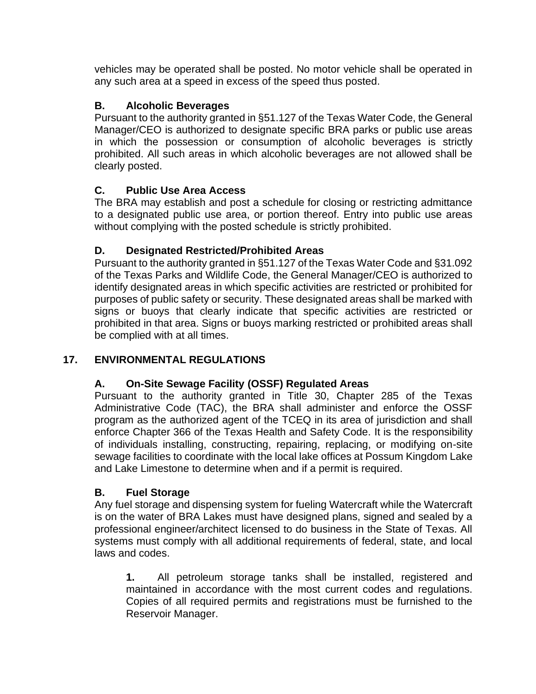vehicles may be operated shall be posted. No motor vehicle shall be operated in any such area at a speed in excess of the speed thus posted.

# **B. Alcoholic Beverages**

Pursuant to the authority granted in §51.127 of the Texas Water Code, the General Manager/CEO is authorized to designate specific BRA parks or public use areas in which the possession or consumption of alcoholic beverages is strictly prohibited. All such areas in which alcoholic beverages are not allowed shall be clearly posted.

# **C. Public Use Area Access**

The BRA may establish and post a schedule for closing or restricting admittance to a designated public use area, or portion thereof. Entry into public use areas without complying with the posted schedule is strictly prohibited.

# **D. Designated Restricted/Prohibited Areas**

Pursuant to the authority granted in §51.127 of the Texas Water Code and §31.092 of the Texas Parks and Wildlife Code, the General Manager/CEO is authorized to identify designated areas in which specific activities are restricted or prohibited for purposes of public safety or security. These designated areas shall be marked with signs or buoys that clearly indicate that specific activities are restricted or prohibited in that area. Signs or buoys marking restricted or prohibited areas shall be complied with at all times.

# **17. ENVIRONMENTAL REGULATIONS**

## **A. On-Site Sewage Facility (OSSF) Regulated Areas**

Pursuant to the authority granted in Title 30, Chapter 285 of the Texas Administrative Code (TAC), the BRA shall administer and enforce the OSSF program as the authorized agent of the TCEQ in its area of jurisdiction and shall enforce Chapter 366 of the Texas Health and Safety Code. It is the responsibility of individuals installing, constructing, repairing, replacing, or modifying on-site sewage facilities to coordinate with the local lake offices at Possum Kingdom Lake and Lake Limestone to determine when and if a permit is required.

## **B. Fuel Storage**

Any fuel storage and dispensing system for fueling Watercraft while the Watercraft is on the water of BRA Lakes must have designed plans, signed and sealed by a professional engineer/architect licensed to do business in the State of Texas. All systems must comply with all additional requirements of federal, state, and local laws and codes.

**1.** All petroleum storage tanks shall be installed, registered and maintained in accordance with the most current codes and regulations. Copies of all required permits and registrations must be furnished to the Reservoir Manager.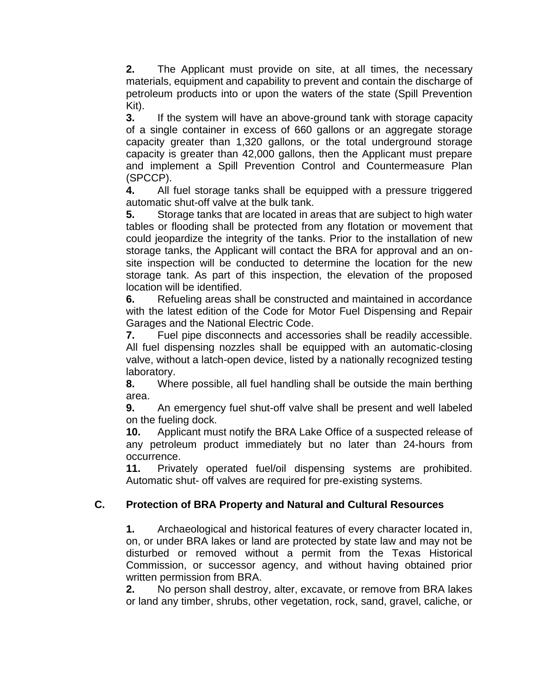**2.** The Applicant must provide on site, at all times, the necessary materials, equipment and capability to prevent and contain the discharge of petroleum products into or upon the waters of the state (Spill Prevention Kit).

**3.** If the system will have an above-ground tank with storage capacity of a single container in excess of 660 gallons or an aggregate storage capacity greater than 1,320 gallons, or the total underground storage capacity is greater than 42,000 gallons, then the Applicant must prepare and implement a Spill Prevention Control and Countermeasure Plan (SPCCP).

**4.** All fuel storage tanks shall be equipped with a pressure triggered automatic shut-off valve at the bulk tank.

**5.** Storage tanks that are located in areas that are subject to high water tables or flooding shall be protected from any flotation or movement that could jeopardize the integrity of the tanks. Prior to the installation of new storage tanks, the Applicant will contact the BRA for approval and an onsite inspection will be conducted to determine the location for the new storage tank. As part of this inspection, the elevation of the proposed location will be identified.

**6.** Refueling areas shall be constructed and maintained in accordance with the latest edition of the Code for Motor Fuel Dispensing and Repair Garages and the National Electric Code.

**7.** Fuel pipe disconnects and accessories shall be readily accessible. All fuel dispensing nozzles shall be equipped with an automatic-closing valve, without a latch-open device, listed by a nationally recognized testing laboratory.

**8.** Where possible, all fuel handling shall be outside the main berthing area.

**9.** An emergency fuel shut-off valve shall be present and well labeled on the fueling dock.

**10.** Applicant must notify the BRA Lake Office of a suspected release of any petroleum product immediately but no later than 24-hours from occurrence.

**11.** Privately operated fuel/oil dispensing systems are prohibited. Automatic shut- off valves are required for pre-existing systems.

# **C. Protection of BRA Property and Natural and Cultural Resources**

**1.** Archaeological and historical features of every character located in, on, or under BRA lakes or land are protected by state law and may not be disturbed or removed without a permit from the Texas Historical Commission, or successor agency, and without having obtained prior written permission from BRA.

**2.** No person shall destroy, alter, excavate, or remove from BRA lakes or land any timber, shrubs, other vegetation, rock, sand, gravel, caliche, or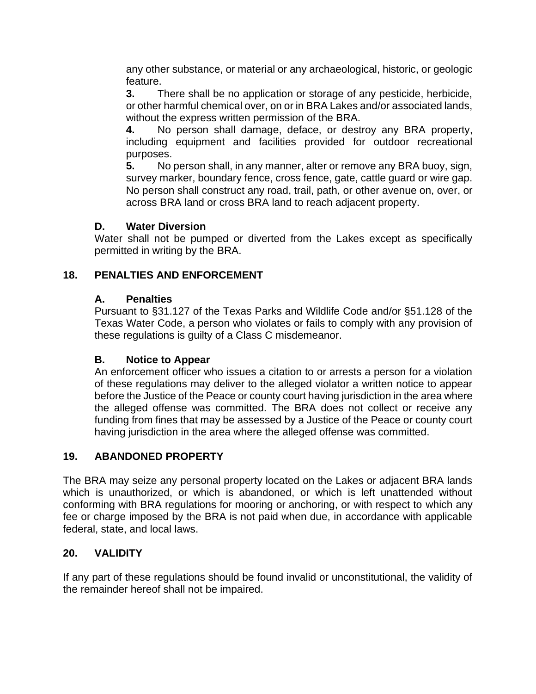any other substance, or material or any archaeological, historic, or geologic feature.

**3.** There shall be no application or storage of any pesticide, herbicide, or other harmful chemical over, on or in BRA Lakes and/or associated lands, without the express written permission of the BRA.

**4.** No person shall damage, deface, or destroy any BRA property, including equipment and facilities provided for outdoor recreational purposes.

**5.** No person shall, in any manner, alter or remove any BRA buoy, sign, survey marker, boundary fence, cross fence, gate, cattle guard or wire gap. No person shall construct any road, trail, path, or other avenue on, over, or across BRA land or cross BRA land to reach adjacent property.

## **D. Water Diversion**

Water shall not be pumped or diverted from the Lakes except as specifically permitted in writing by the BRA.

# **18. PENALTIES AND ENFORCEMENT**

# **A. Penalties**

Pursuant to §31.127 of the Texas Parks and Wildlife Code and/or §51.128 of the Texas Water Code, a person who violates or fails to comply with any provision of these regulations is guilty of a Class C misdemeanor.

## **B. Notice to Appear**

An enforcement officer who issues a citation to or arrests a person for a violation of these regulations may deliver to the alleged violator a written notice to appear before the Justice of the Peace or county court having jurisdiction in the area where the alleged offense was committed. The BRA does not collect or receive any funding from fines that may be assessed by a Justice of the Peace or county court having jurisdiction in the area where the alleged offense was committed.

## **19. ABANDONED PROPERTY**

The BRA may seize any personal property located on the Lakes or adjacent BRA lands which is unauthorized, or which is abandoned, or which is left unattended without conforming with BRA regulations for mooring or anchoring, or with respect to which any fee or charge imposed by the BRA is not paid when due, in accordance with applicable federal, state, and local laws.

## **20. VALIDITY**

If any part of these regulations should be found invalid or unconstitutional, the validity of the remainder hereof shall not be impaired.